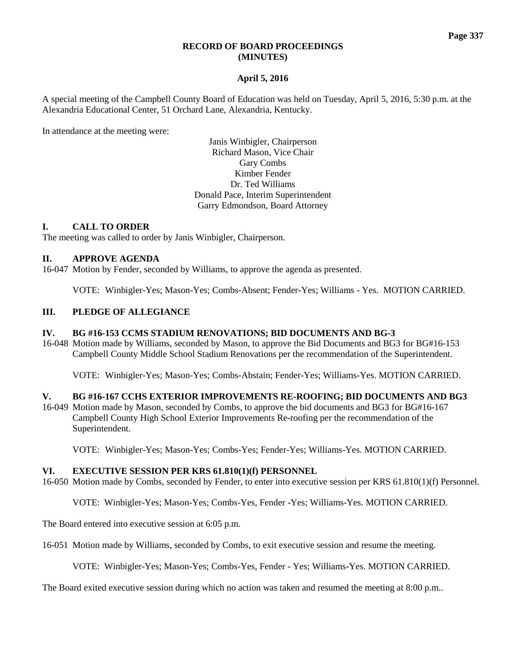### **RECORD OF BOARD PROCEEDINGS (MINUTES)**

## **April 5, 2016**

A special meeting of the Campbell County Board of Education was held on Tuesday, April 5, 2016, 5:30 p.m. at the Alexandria Educational Center, 51 Orchard Lane, Alexandria, Kentucky.

In attendance at the meeting were:

Janis Winbigler, Chairperson Richard Mason, Vice Chair Gary Combs Kimber Fender Dr. Ted Williams Donald Pace, Interim Superintendent Garry Edmondson, Board Attorney

## **I. CALL TO ORDER**

The meeting was called to order by Janis Winbigler, Chairperson.

#### **II. APPROVE AGENDA**

16-047 Motion by Fender, seconded by Williams, to approve the agenda as presented.

VOTE: Winbigler-Yes; Mason-Yes; Combs-Absent; Fender-Yes; Williams - Yes. MOTION CARRIED.

## **III. PLEDGE OF ALLEGIANCE**

#### **IV. BG #16-153 CCMS STADIUM RENOVATIONS; BID DOCUMENTS AND BG-3**

16-048 Motion made by Williams, seconded by Mason, to approve the Bid Documents and BG3 for BG#16-153 Campbell County Middle School Stadium Renovations per the recommendation of the Superintendent.

VOTE: Winbigler-Yes; Mason-Yes; Combs-Abstain; Fender-Yes; Williams-Yes. MOTION CARRIED.

#### **V. BG #16-167 CCHS EXTERIOR IMPROVEMENTS RE-ROOFING; BID DOCUMENTS AND BG3**

16-049 Motion made by Mason, seconded by Combs, to approve the bid documents and BG3 for BG#16-167 Campbell County High School Exterior Improvements Re-roofing per the recommendation of the Superintendent.

VOTE: Winbigler-Yes; Mason-Yes; Combs-Yes; Fender-Yes; Williams-Yes. MOTION CARRIED.

#### **VI. EXECUTIVE SESSION PER KRS 61.810(1)(f) PERSONNEL**

16-050 Motion made by Combs, seconded by Fender, to enter into executive session per KRS 61.810(1)(f) Personnel.

VOTE: Winbigler-Yes; Mason-Yes; Combs-Yes, Fender -Yes; Williams-Yes. MOTION CARRIED.

The Board entered into executive session at 6:05 p.m.

16-051 Motion made by Williams, seconded by Combs, to exit executive session and resume the meeting.

VOTE: Winbigler-Yes; Mason-Yes; Combs-Yes, Fender - Yes; Williams-Yes. MOTION CARRIED.

The Board exited executive session during which no action was taken and resumed the meeting at 8:00 p.m..